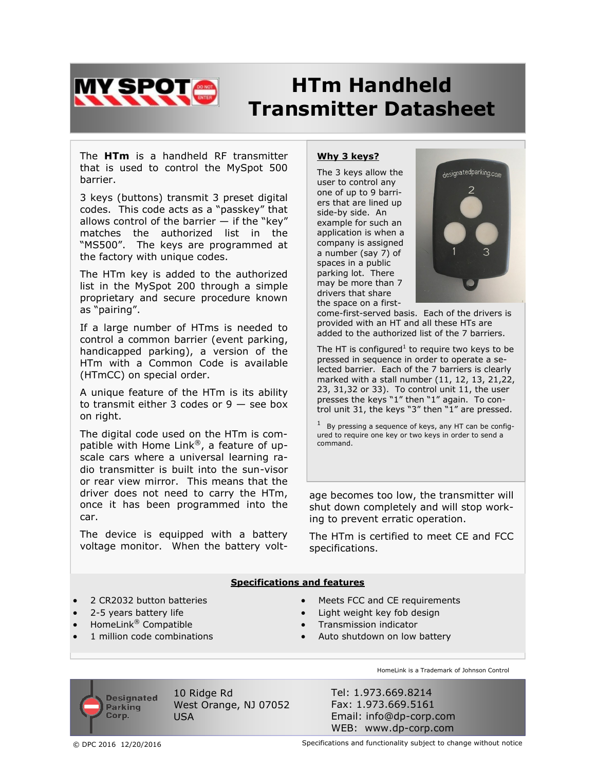

# **HTm Handheld Transmitter Datasheet**

The **HTm** is a handheld RF transmitter that is used to control the MySpot 500 barrier.

3 keys (buttons) transmit 3 preset digital codes. This code acts as a "passkey" that allows control of the barrier  $-$  if the "key" matches the authorized list in the "MS500". The keys are programmed at the factory with unique codes.

The HTm key is added to the authorized list in the MySpot 200 through a simple proprietary and secure procedure known as "pairing".

If a large number of HTms is needed to control a common barrier (event parking, handicapped parking), a version of the HTm with a Common Code is available (HTmCC) on special order.

A unique feature of the HTm is its ability to transmit either 3 codes or  $9$  – see box on right.

The digital code used on the HTm is compatible with Home Link®, a feature of upscale cars where a universal learning radio transmitter is built into the sun-visor or rear view mirror. This means that the driver does not need to carry the HTm, once it has been programmed into the car.

The device is equipped with a battery voltage monitor. When the battery volt-

## **Why 3 keys?**

The 3 keys allow the user to control any one of up to 9 barriers that are lined up side-by side. An example for such an application is when a company is assigned a number (say 7) of spaces in a public parking lot. There may be more than 7 drivers that share the space on a first-



come-first-served basis. Each of the drivers is provided with an HT and all these HTs are added to the authorized list of the 7 barriers.

The HT is configured<sup>1</sup> to require two keys to be pressed in sequence in order to operate a selected barrier. Each of the 7 barriers is clearly marked with a stall number (11, 12, 13, 21,22, 23, 31,32 or 33). To control unit 11, the user presses the keys "1" then "1" again. To control unit 31, the keys "3" then "1" are pressed.

1 By pressing a sequence of keys, any HT can be configured to require one key or two keys in order to send a command.

age becomes too low, the transmitter will shut down completely and will stop working to prevent erratic operation.

The HTm is certified to meet CE and FCC specifications.

### **Specifications and features**

- 2 CR2032 button batteries
- 2-5 years battery life
- HomeLink® Compatible
- 1 million code combinations
- Meets FCC and CE requirements
- Light weight key fob design
- Transmission indicator
- Auto shutdown on low battery

**Designated Parking** Corp.

10 Ridge Rd West Orange, NJ 07052 USA

HomeLink is a Trademark of Johnson Control

Tel: 1.973.669.8214 Fax: 1.973.669.5161 Email: info@dp-corp.com WEB: www.dp-corp.com

© DPC 2016 12/20/2016 Specifications and functionality subject to change without notice